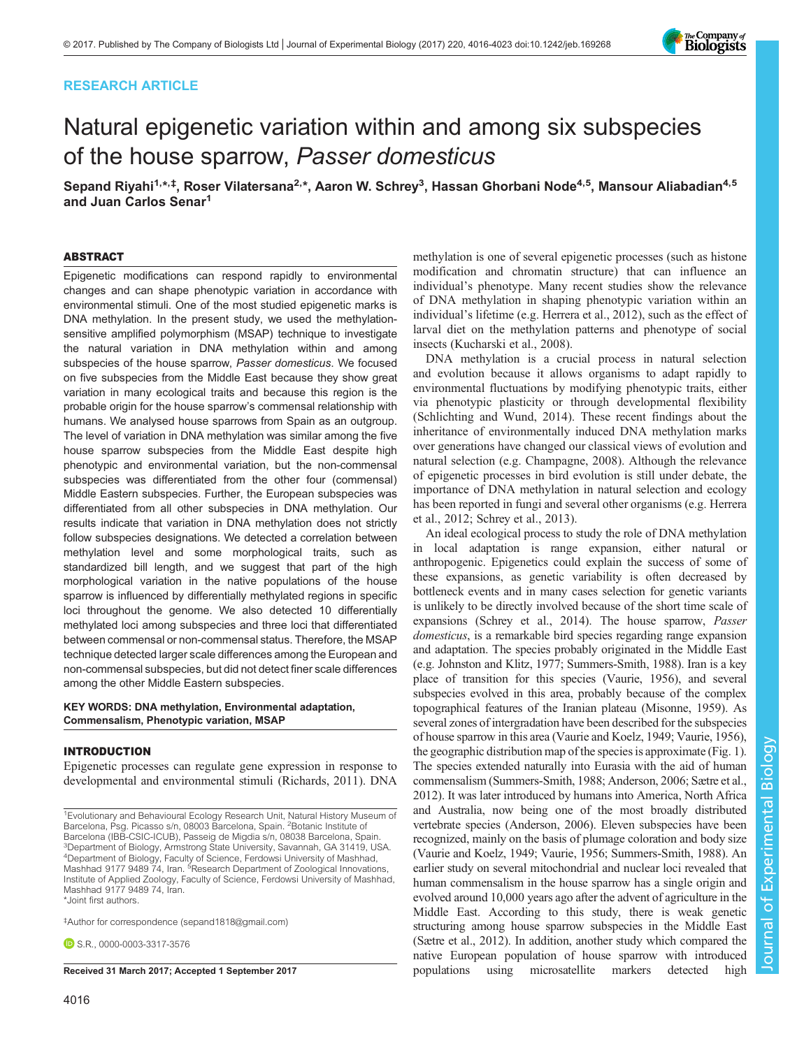# RESEARCH ARTICLE

# Natural epigenetic variation within and among six subspecies of the house sparrow, Passer domesticus

Sepand Riyahi<sup>1,</sup>\*<sup>,‡</sup>, Roser Vilatersana<sup>2,</sup>\*, Aaron W. Schrey<sup>3</sup>, Hassan Ghorbani Node<sup>4,5</sup>, Mansour Aliabadian<sup>4,5</sup> and Juan Carlos Senar<sup>1</sup>

### ABSTRACT

Epigenetic modifications can respond rapidly to environmental changes and can shape phenotypic variation in accordance with environmental stimuli. One of the most studied epigenetic marks is DNA methylation. In the present study, we used the methylationsensitive amplified polymorphism (MSAP) technique to investigate the natural variation in DNA methylation within and among subspecies of the house sparrow, Passer domesticus. We focused on five subspecies from the Middle East because they show great variation in many ecological traits and because this region is the probable origin for the house sparrow's commensal relationship with humans. We analysed house sparrows from Spain as an outgroup. The level of variation in DNA methylation was similar among the five house sparrow subspecies from the Middle East despite high phenotypic and environmental variation, but the non-commensal subspecies was differentiated from the other four (commensal) Middle Eastern subspecies. Further, the European subspecies was differentiated from all other subspecies in DNA methylation. Our results indicate that variation in DNA methylation does not strictly follow subspecies designations. We detected a correlation between methylation level and some morphological traits, such as standardized bill length, and we suggest that part of the high morphological variation in the native populations of the house sparrow is influenced by differentially methylated regions in specific loci throughout the genome. We also detected 10 differentially methylated loci among subspecies and three loci that differentiated between commensal or non-commensal status. Therefore, the MSAP technique detected larger scale differences among the European and non-commensal subspecies, but did not detect finer scale differences among the other Middle Eastern subspecies.

### KEY WORDS: DNA methylation, Environmental adaptation, Commensalism, Phenotypic variation, MSAP

# INTRODUCTION

Epigenetic processes can regulate gene expression in response to developmental and environmental stimuli ([Richards, 2011\)](#page-7-0). DNA

‡ Author for correspondence ([sepand1818@gmail.com\)](mailto:sepand1818@gmail.com)

**D.S.R.**, [0000-0003-3317-3576](http://orcid.org/0000-0003-3317-3576)

methylation is one of several epigenetic processes (such as histone modification and chromatin structure) that can influence an individual's phenotype. Many recent studies show the relevance of DNA methylation in shaping phenotypic variation within an individual's lifetime (e.g. [Herrera et al., 2012\)](#page-6-0), such as the effect of larval diet on the methylation patterns and phenotype of social insects [\(Kucharski et al., 2008](#page-6-0)).

DNA methylation is a crucial process in natural selection and evolution because it allows organisms to adapt rapidly to environmental fluctuations by modifying phenotypic traits, either via phenotypic plasticity or through developmental flexibility [\(Schlichting and Wund, 2014\)](#page-7-0). These recent findings about the inheritance of environmentally induced DNA methylation marks over generations have changed our classical views of evolution and natural selection (e.g. [Champagne, 2008](#page-6-0)). Although the relevance of epigenetic processes in bird evolution is still under debate, the importance of DNA methylation in natural selection and ecology has been reported in fungi and several other organisms (e.g. [Herrera](#page-6-0) [et al., 2012;](#page-6-0) [Schrey et al., 2013\)](#page-7-0).

An ideal ecological process to study the role of DNA methylation in local adaptation is range expansion, either natural or anthropogenic. Epigenetics could explain the success of some of these expansions, as genetic variability is often decreased by bottleneck events and in many cases selection for genetic variants is unlikely to be directly involved because of the short time scale of expansions [\(Schrey et al., 2014\)](#page-7-0). The house sparrow, Passer domesticus, is a remarkable bird species regarding range expansion and adaptation. The species probably originated in the Middle East (e.g. [Johnston and Klitz, 1977](#page-6-0); [Summers-Smith, 1988](#page-7-0)). Iran is a key place of transition for this species [\(Vaurie, 1956](#page-7-0)), and several subspecies evolved in this area, probably because of the complex topographical features of the Iranian plateau [\(Misonne, 1959\)](#page-6-0). As several zones of intergradation have been described for the subspecies of house sparrow in this area [\(Vaurie and Koelz, 1949; Vaurie, 1956\)](#page-7-0), the geographic distribution map of the species is approximate ([Fig. 1\)](#page-1-0). The species extended naturally into Eurasia with the aid of human commensalism [\(Summers-Smith, 1988;](#page-7-0) [Anderson, 2006;](#page-6-0) [Sætre et al.,](#page-7-0) [2012\)](#page-7-0). It was later introduced by humans into America, North Africa and Australia, now being one of the most broadly distributed vertebrate species ([Anderson, 2006](#page-6-0)). Eleven subspecies have been recognized, mainly on the basis of plumage coloration and body size [\(Vaurie and Koelz, 1949](#page-7-0); [Vaurie, 1956; Summers-Smith, 1988\)](#page-7-0). An earlier study on several mitochondrial and nuclear loci revealed that human commensalism in the house sparrow has a single origin and evolved around 10,000 years ago after the advent of agriculture in the Middle East. According to this study, there is weak genetic structuring among house sparrow subspecies in the Middle East [\(Sætre et al., 2012\)](#page-7-0). In addition, another study which compared the native European population of house sparrow with introduced Received 31 March 2017; Accepted 1 September 2017 **populations** using microsatellite markers detected high



<sup>&</sup>lt;sup>1</sup> Evolutionary and Behavioural Ecology Research Unit, Natural History Museum of Barcelona, Psg. Picasso s/n, 08003 Barcelona, Spain. <sup>2</sup>Botanic Institute of Barcelona (IBB-CSIC-ICUB), Passeig de Migdia s/n, 08038 Barcelona, Spain. <sup>3</sup>Department of Biology, Armstrong State University, Savannah, GA 31419, USA. <sup>4</sup>Department of Biology, Faculty of Science, Ferdowsi University of Mashhad, Mashhad 9177 9489 74, Iran. <sup>5</sup>Research Department of Zoological Innovations, Institute of Applied Zoology, Faculty of Science, Ferdowsi University of Mashhad, Mashhad 9177 9489 74, Iran. \*Joint first authors.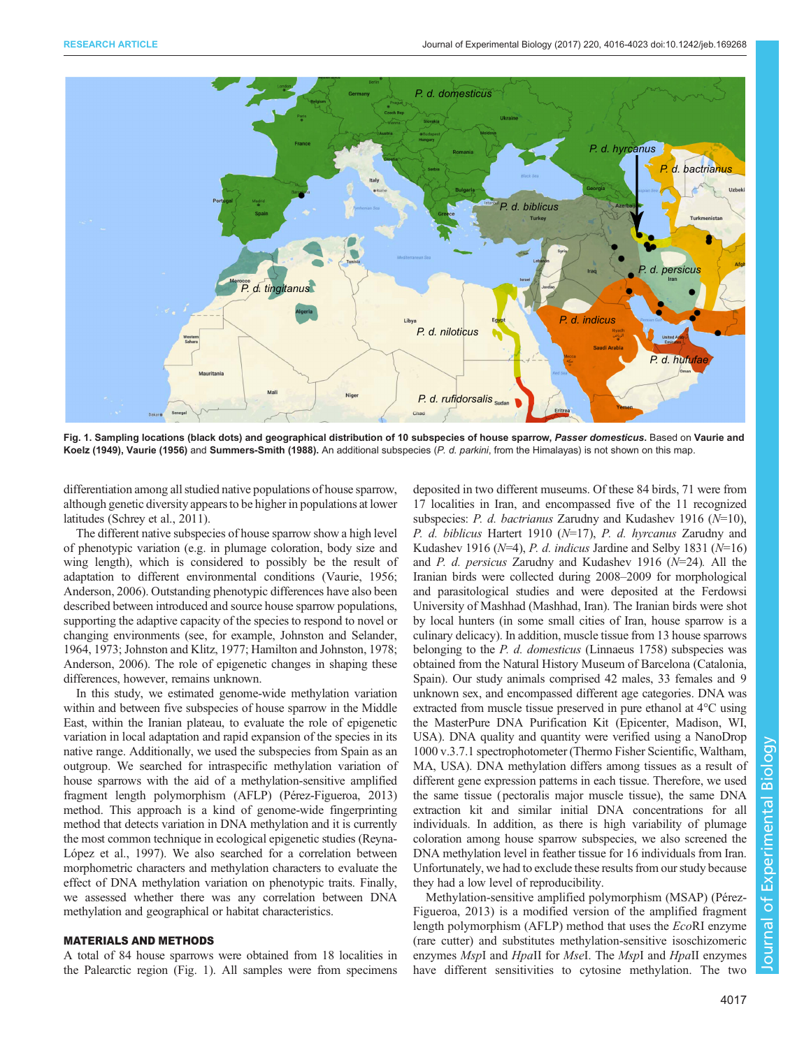<span id="page-1-0"></span>

Fig. 1. Sampling locations (black dots) and geographical distribution of 10 subspecies of house sparrow, Passer domesticus. Based on [Vaurie and](#page-7-0) [Koelz \(1949\)](#page-7-0), [Vaurie \(1956\)](#page-7-0) and [Summers-Smith \(1988\).](#page-7-0) An additional subspecies (P. d. parkini, from the Himalayas) is not shown on this map.

differentiation among all studied native populations of house sparrow, although genetic diversity appears to be higher in populations at lower latitudes [\(Schrey et al., 2011\)](#page-7-0).

The different native subspecies of house sparrow show a high level of phenotypic variation (e.g. in plumage coloration, body size and wing length), which is considered to possibly be the result of adaptation to different environmental conditions [\(Vaurie, 1956](#page-7-0); [Anderson, 2006\)](#page-6-0). Outstanding phenotypic differences have also been described between introduced and source house sparrow populations, supporting the adaptive capacity of the species to respond to novel or changing environments (see, for example, [Johnston and Selander,](#page-6-0) [1964, 1973; Johnston and Klitz, 1977](#page-6-0); [Hamilton and Johnston, 1978](#page-6-0); [Anderson, 2006](#page-6-0)). The role of epigenetic changes in shaping these differences, however, remains unknown.

In this study, we estimated genome-wide methylation variation within and between five subspecies of house sparrow in the Middle East, within the Iranian plateau, to evaluate the role of epigenetic variation in local adaptation and rapid expansion of the species in its native range. Additionally, we used the subspecies from Spain as an outgroup. We searched for intraspecific methylation variation of house sparrows with the aid of a methylation-sensitive amplified fragment length polymorphism (AFLP) [\(Pérez-Figueroa, 2013\)](#page-6-0) method. This approach is a kind of genome-wide fingerprinting method that detects variation in DNA methylation and it is currently the most common technique in ecological epigenetic studies ([Reyna-](#page-6-0)[López et al., 1997\)](#page-6-0). We also searched for a correlation between morphometric characters and methylation characters to evaluate the effect of DNA methylation variation on phenotypic traits. Finally, we assessed whether there was any correlation between DNA methylation and geographical or habitat characteristics.

## MATERIALS AND METHODS

A total of 84 house sparrows were obtained from 18 localities in the Palearctic region (Fig. 1). All samples were from specimens deposited in two different museums. Of these 84 birds, 71 were from 17 localities in Iran, and encompassed five of the 11 recognized subspecies: P. d. bactrianus Zarudny and Kudashev 1916 ( $N=10$ ), P. d. biblicus Hartert 1910 ( $N=17$ ), P. d. hyrcanus Zarudny and Kudashev 1916 ( $N=4$ ), P. d. indicus Jardine and Selby 1831 ( $N=16$ ) and P. d. persicus Zarudny and Kudashev 1916 (N=24). All the Iranian birds were collected during 2008–2009 for morphological and parasitological studies and were deposited at the Ferdowsi University of Mashhad (Mashhad, Iran). The Iranian birds were shot by local hunters (in some small cities of Iran, house sparrow is a culinary delicacy). In addition, muscle tissue from 13 house sparrows belonging to the *P. d. domesticus* (Linnaeus 1758) subspecies was obtained from the Natural History Museum of Barcelona (Catalonia, Spain). Our study animals comprised 42 males, 33 females and 9 unknown sex, and encompassed different age categories. DNA was extracted from muscle tissue preserved in pure ethanol at 4°C using the MasterPure DNA Purification Kit (Epicenter, Madison, WI, USA). DNA quality and quantity were verified using a NanoDrop 1000 v.3.7.1 spectrophotometer (Thermo Fisher Scientific, Waltham, MA, USA). DNA methylation differs among tissues as a result of different gene expression patterns in each tissue. Therefore, we used the same tissue (pectoralis major muscle tissue), the same DNA extraction kit and similar initial DNA concentrations for all individuals. In addition, as there is high variability of plumage coloration among house sparrow subspecies, we also screened the DNA methylation level in feather tissue for 16 individuals from Iran. Unfortunately, we had to exclude these results from our study because they had a low level of reproducibility.

Methylation-sensitive amplified polymorphism (MSAP) [\(Pérez-](#page-6-0)[Figueroa, 2013](#page-6-0)) is a modified version of the amplified fragment length polymorphism (AFLP) method that uses the EcoRI enzyme (rare cutter) and substitutes methylation-sensitive isoschizomeric enzymes MspI and HpaII for MseI. The MspI and HpaII enzymes have different sensitivities to cytosine methylation. The two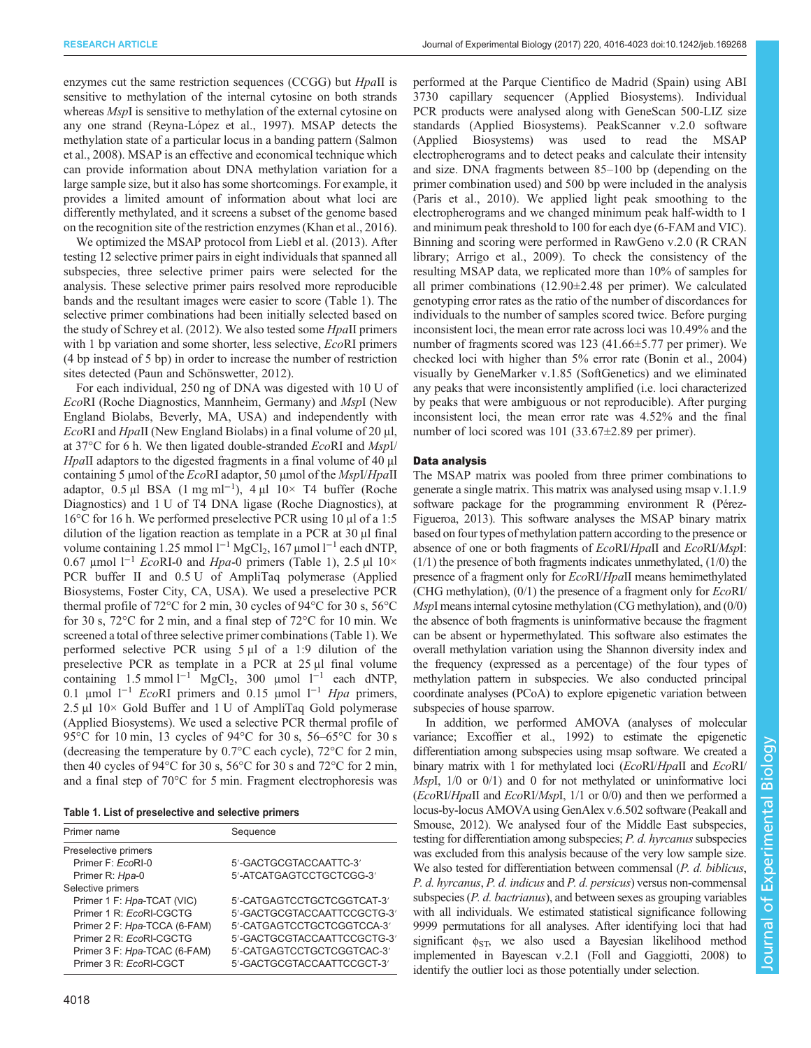enzymes cut the same restriction sequences (CCGG) but *HpaII* is sensitive to methylation of the internal cytosine on both strands whereas *MspI* is sensitive to methylation of the external cytosine on any one strand [\(Reyna-López et al., 1997](#page-6-0)). MSAP detects the methylation state of a particular locus in a banding pattern [\(Salmon](#page-7-0) [et al., 2008](#page-7-0)). MSAP is an effective and economical technique which can provide information about DNA methylation variation for a large sample size, but it also has some shortcomings. For example, it provides a limited amount of information about what loci are differently methylated, and it screens a subset of the genome based on the recognition site of the restriction enzymes ([Khan et al., 2016\)](#page-6-0).

We optimized the MSAP protocol from [Liebl et al. \(2013\).](#page-6-0) After testing 12 selective primer pairs in eight individuals that spanned all subspecies, three selective primer pairs were selected for the analysis. These selective primer pairs resolved more reproducible bands and the resultant images were easier to score (Table 1). The selective primer combinations had been initially selected based on the study of [Schrey et al. \(2012\).](#page-7-0) We also tested some HpaII primers with 1 bp variation and some shorter, less selective, *EcoRI* primers (4 bp instead of 5 bp) in order to increase the number of restriction sites detected [\(Paun and Schönswetter, 2012\)](#page-6-0).

For each individual, 250 ng of DNA was digested with 10 U of EcoRI (Roche Diagnostics, Mannheim, Germany) and MspI (New England Biolabs, Beverly, MA, USA) and independently with EcoRI and HpaII (New England Biolabs) in a final volume of 20 μl, at 37 $\rm{^{\circ}C}$  for 6 h. We then ligated double-stranded *EcoRI* and *MspI/* HpaII adaptors to the digested fragments in a final volume of 40 µl containing 5 µmol of the  $EcoRI$  adaptor, 50 µmol of the  $MspI/HpaII$ adaptor, 0.5 µl BSA (1 mg ml−<sup>1</sup> ), 4 µl 10× T4 buffer (Roche Diagnostics) and 1 U of T4 DNA ligase (Roche Diagnostics), at 16°C for 16 h. We performed preselective PCR using 10 μl of a 1:5 dilution of the ligation reaction as template in a PCR at 30 μl final volume containing 1.25 mmol  $1^{-1}$  MgCl<sub>2</sub>, 167 µmol  $1^{-1}$  each dNTP, 0.67 μmol  $1^{-1}$  EcoRI-0 and Hpa-0 primers (Table 1), 2.5 μl  $10\times$ PCR buffer II and 0.5 U of AmpliTaq polymerase (Applied Biosystems, Foster City, CA, USA). We used a preselective PCR thermal profile of 72°C for 2 min, 30 cycles of 94°C for 30 s, 56°C for 30 s, 72°C for 2 min, and a final step of 72°C for 10 min. We screened a total of three selective primer combinations (Table 1). We performed selective PCR using 5 μl of a 1:9 dilution of the preselective PCR as template in a PCR at 25 μl final volume containing 1.5 mmol  $l^{-1}$  MgCl<sub>2</sub>, 300 µmol  $l^{-1}$  each dNTP, 0.1 μmol  $l^{-1}$  EcoRI primers and 0.15 μmol  $l^{-1}$  Hpa primers, 2.5 μl 10× Gold Buffer and 1 U of AmpliTaq Gold polymerase (Applied Biosystems). We used a selective PCR thermal profile of 95 °C for 10 min, 13 cycles of 94 °C for 30 s, 56–65 °C for 30 s (decreasing the temperature by 0.7°C each cycle), 72°C for 2 min, then 40 cycles of 94°C for 30 s, 56°C for 30 s and 72°C for 2 min, and a final step of 70°C for 5 min. Fragment electrophoresis was

|  |  |  | Table 1. List of preselective and selective primers |  |
|--|--|--|-----------------------------------------------------|--|
|  |  |  |                                                     |  |

| Primer name                          | Sequence                    |
|--------------------------------------|-----------------------------|
| Preselective primers                 |                             |
| Primer $F: FcoRI-0$                  | 5'-GACTGCGTACCAATTC-3'      |
| Primer R: Hpa-0                      | 5'-ATCATGAGTCCTGCTCGG-3'    |
| Selective primers                    |                             |
| Primer 1 F: Hpa-TCAT (VIC)           | 5'-CATGAGTCCTGCTCGGTCAT-3'  |
| Primer 1 R: FcoRI-CGCTG              | 5'-GACTGCGTACCAATTCCGCTG-3' |
| Primer 2 F: Hpa-TCCA (6-FAM)         | 5'-CATGAGTCCTGCTCGGTCCA-3'  |
| Primer $2 \text{ R}$ : $FcoRI-CGCTG$ | 5'-GACTGCGTACCAATTCCGCTG-3' |
| Primer 3 F: Hpa-TCAC (6-FAM)         | 5'-CATGAGTCCTGCTCGGTCAC-3'  |
| Primer 3 R: EcoRI-CGCT               | 5'-GACTGCGTACCAATTCCGCT-3'  |

performed at the Parque Cientifico de Madrid (Spain) using ABI 3730 capillary sequencer (Applied Biosystems). Individual PCR products were analysed along with GeneScan 500-LIZ size standards (Applied Biosystems). PeakScanner v.2.0 software (Applied Biosystems) was used to read the MSAP electropherograms and to detect peaks and calculate their intensity and size. DNA fragments between 85–100 bp (depending on the primer combination used) and 500 bp were included in the analysis [\(Paris et al., 2010\)](#page-6-0). We applied light peak smoothing to the electropherograms and we changed minimum peak half-width to 1 and minimum peak threshold to 100 for each dye (6-FAM and VIC). Binning and scoring were performed in RawGeno v.2.0 (R CRAN library; [Arrigo et al., 2009\)](#page-6-0). To check the consistency of the resulting MSAP data, we replicated more than 10% of samples for all primer combinations (12.90±2.48 per primer). We calculated genotyping error rates as the ratio of the number of discordances for individuals to the number of samples scored twice. Before purging inconsistent loci, the mean error rate across loci was 10.49% and the number of fragments scored was 123 (41.66±5.77 per primer). We checked loci with higher than 5% error rate ([Bonin et al., 2004\)](#page-6-0) visually by GeneMarker v.1.85 (SoftGenetics) and we eliminated any peaks that were inconsistently amplified (i.e. loci characterized by peaks that were ambiguous or not reproducible). After purging inconsistent loci, the mean error rate was 4.52% and the final number of loci scored was 101 (33.67±2.89 per primer).

## Data analysis

The MSAP matrix was pooled from three primer combinations to generate a single matrix. This matrix was analysed using msap v.1.1.9 software package for the programming environment R [\(Pérez-](#page-6-0)[Figueroa, 2013](#page-6-0)). This software analyses the MSAP binary matrix based on four types of methylation pattern according to the presence or absence of one or both fragments of EcoRI/HpaII and EcoRI/MspI: (1/1) the presence of both fragments indicates unmethylated, (1/0) the presence of a fragment only for EcoRI/HpaII means hemimethylated (CHG methylation), (0/1) the presence of a fragment only for EcoRI/ MspI means internal cytosine methylation (CG methylation), and (0/0) the absence of both fragments is uninformative because the fragment can be absent or hypermethylated. This software also estimates the overall methylation variation using the Shannon diversity index and the frequency (expressed as a percentage) of the four types of methylation pattern in subspecies. We also conducted principal coordinate analyses (PCoA) to explore epigenetic variation between subspecies of house sparrow.

In addition, we performed AMOVA (analyses of molecular variance; [Excoffier et al., 1992](#page-6-0)) to estimate the epigenetic differentiation among subspecies using msap software. We created a binary matrix with 1 for methylated loci (EcoRI/HpaII and EcoRI/ MspI, 1/0 or 0/1) and 0 for not methylated or uninformative loci  $(EcoRI/HpaII$  and  $EcoRI/Mspl$ ,  $1/1$  or  $0/0$ ) and then we performed a locus-by-locus AMOVA using GenAlex v.6.502 software ([Peakall and](#page-6-0) [Smouse, 2012\)](#page-6-0). We analysed four of the Middle East subspecies, testing for differentiation among subspecies; P. d. hyrcanus subspecies was excluded from this analysis because of the very low sample size. We also tested for differentiation between commensal (P. d. biblicus, P. d. hyrcanus, P. d. indicus and P. d. persicus) versus non-commensal subspecies (*P. d. bactrianus*), and between sexes as grouping variables with all individuals. We estimated statistical significance following 9999 permutations for all analyses. After identifying loci that had significant  $\phi_{ST}$ , we also used a Bayesian likelihood method implemented in Bayescan v.2.1 ([Foll and Gaggiotti, 2008\)](#page-6-0) to identify the outlier loci as those potentially under selection.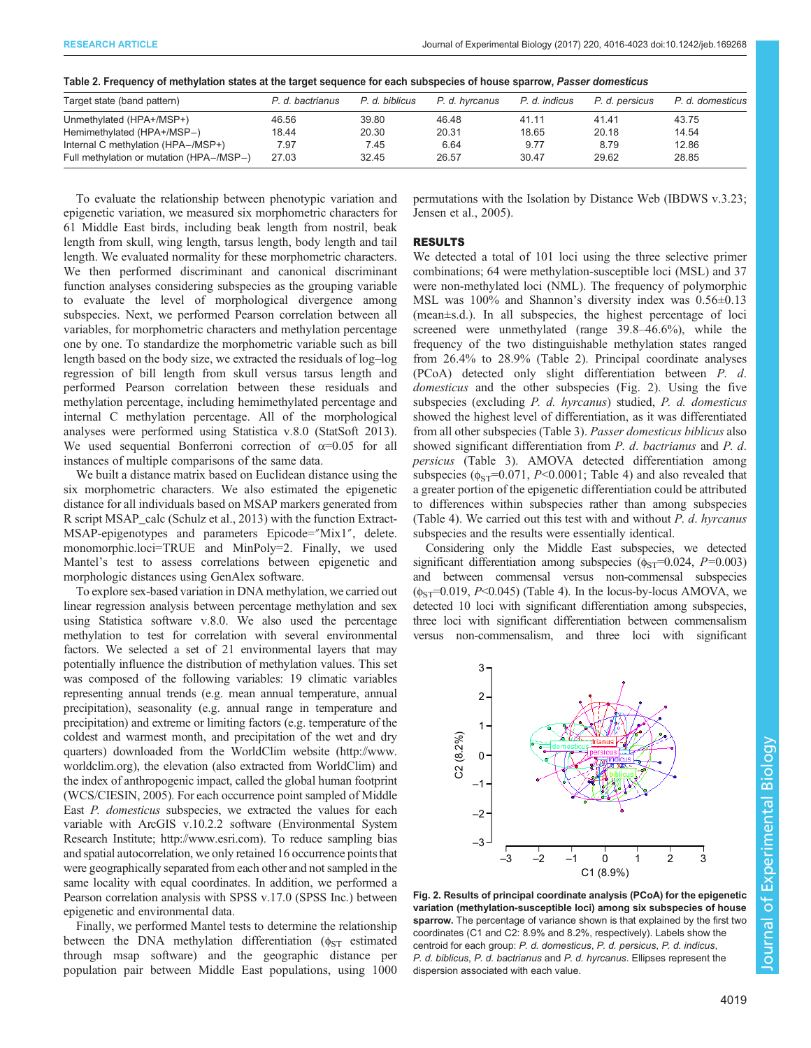|  |  | Table 2. Frequency of methylation states at the target sequence for each subspecies of house sparrow, Passer domesticus |  |
|--|--|-------------------------------------------------------------------------------------------------------------------------|--|
|  |  |                                                                                                                         |  |

| Target state (band pattern)              | P. d. bactrianus | P. d. biblicus | P. d. hvrcanus | P. d. indicus | P. d. persicus | P. d. domesticus |
|------------------------------------------|------------------|----------------|----------------|---------------|----------------|------------------|
| Unmethylated (HPA+/MSP+)                 | 46.56            | 39.80          | 46.48          | 41.11         | 41.41          | 43.75            |
| Hemimethylated (HPA+/MSP-)               | 18.44            | 20.30          | 20.31          | 18.65         | 20.18          | 14.54            |
| Internal C methylation (HPA-/MSP+)       | 7.97             | 7.45           | 6.64           | 9.77          | 8.79           | 12.86            |
| Full methylation or mutation (HPA-/MSP-) | 27.03            | 32.45          | 26.57          | 30.47         | 29.62          | 28.85            |

To evaluate the relationship between phenotypic variation and epigenetic variation, we measured six morphometric characters for 61 Middle East birds, including beak length from nostril, beak length from skull, wing length, tarsus length, body length and tail length. We evaluated normality for these morphometric characters. We then performed discriminant and canonical discriminant function analyses considering subspecies as the grouping variable to evaluate the level of morphological divergence among subspecies. Next, we performed Pearson correlation between all variables, for morphometric characters and methylation percentage one by one. To standardize the morphometric variable such as bill length based on the body size, we extracted the residuals of log–log regression of bill length from skull versus tarsus length and performed Pearson correlation between these residuals and methylation percentage, including hemimethylated percentage and internal C methylation percentage. All of the morphological analyses were performed using Statistica v.8.0 (StatSoft 2013). We used sequential Bonferroni correction of  $\alpha=0.05$  for all instances of multiple comparisons of the same data.

We built a distance matrix based on Euclidean distance using the six morphometric characters. We also estimated the epigenetic distance for all individuals based on MSAP markers generated from R script MSAP\_calc [\(Schulz et al., 2013](#page-7-0)) with the function Extract-MSAP-epigenotypes and parameters Epicode="Mix1", delete. monomorphic.loci=TRUE and MinPoly=2. Finally, we used Mantel's test to assess correlations between epigenetic and morphologic distances using GenAlex software.

To explore sex-based variation in DNA methylation, we carried out linear regression analysis between percentage methylation and sex using Statistica software v.8.0. We also used the percentage methylation to test for correlation with several environmental factors. We selected a set of 21 environmental layers that may potentially influence the distribution of methylation values. This set was composed of the following variables: 19 climatic variables representing annual trends (e.g. mean annual temperature, annual precipitation), seasonality (e.g. annual range in temperature and precipitation) and extreme or limiting factors (e.g. temperature of the coldest and warmest month, and precipitation of the wet and dry quarters) downloaded from the WorldClim website ([http://www.](http://www.worldclim.org) [worldclim.org](http://www.worldclim.org)), the elevation (also extracted from WorldClim) and the index of anthropogenic impact, called the global human footprint [\(WCS/CIESIN, 2005\)](#page-7-0). For each occurrence point sampled of Middle East P. domesticus subspecies, we extracted the values for each variable with ArcGIS v.10.2.2 software (Environmental System Research Institute; [http://www.esri.com\)](http://www.esri.com). To reduce sampling bias and spatial autocorrelation, we only retained 16 occurrence points that were geographically separated from each other and not sampled in the same locality with equal coordinates. In addition, we performed a Pearson correlation analysis with SPSS v.17.0 (SPSS Inc.) between epigenetic and environmental data.

Finally, we performed Mantel tests to determine the relationship between the DNA methylation differentiation ( $\phi_{ST}$  estimated through msap software) and the geographic distance per population pair between Middle East populations, using 1000

permutations with the Isolation by Distance Web (IBDWS v.3.23; [Jensen et al., 2005](#page-6-0)).

## RESULTS

We detected a total of 101 loci using the three selective primer combinations; 64 were methylation-susceptible loci (MSL) and 37 were non-methylated loci (NML). The frequency of polymorphic MSL was 100% and Shannon's diversity index was 0.56±0.13 (mean±s.d.). In all subspecies, the highest percentage of loci screened were unmethylated (range 39.8–46.6%), while the frequency of the two distinguishable methylation states ranged from 26.4% to 28.9% (Table 2). Principal coordinate analyses (PCoA) detected only slight differentiation between P. d. domesticus and the other subspecies (Fig. 2). Using the five subspecies (excluding P. d. hyrcanus) studied, P. d. domesticus showed the highest level of differentiation, as it was differentiated from all other subspecies [\(Table 3](#page-4-0)). Passer domesticus biblicus also showed significant differentiation from P. d. bactrianus and P. d. persicus [\(Table 3](#page-4-0)). AMOVA detected differentiation among subspecies ( $\phi_{ST}$ =0.071, P<0.0001; [Table 4\)](#page-4-0) and also revealed that a greater portion of the epigenetic differentiation could be attributed to differences within subspecies rather than among subspecies [\(Table 4\)](#page-4-0). We carried out this test with and without  $P$ .  $d$ . hyrcanus subspecies and the results were essentially identical.

Considering only the Middle East subspecies, we detected significant differentiation among subspecies ( $\phi_{ST}$ =0.024, P=0.003) and between commensal versus non-commensal subspecies  $(\phi_{ST}=0.019, P<0.045)$  [\(Table 4\)](#page-4-0). In the locus-by-locus AMOVA, we detected 10 loci with significant differentiation among subspecies, three loci with significant differentiation between commensalism versus non-commensalism, and three loci with significant



Fig. 2. Results of principal coordinate analysis (PCoA) for the epigenetic variation (methylation-susceptible loci) among six subspecies of house **sparrow.** The percentage of variance shown is that explained by the first two coordinates (C1 and C2: 8.9% and 8.2%, respectively). Labels show the centroid for each group: P. d. domesticus, P. d. persicus, P. d. indicus, P. d. biblicus, P. d. bactrianus and P. d. hyrcanus. Ellipses represent the dispersion associated with each value.

Journal of Experimental Biologyournal of Experimental Biology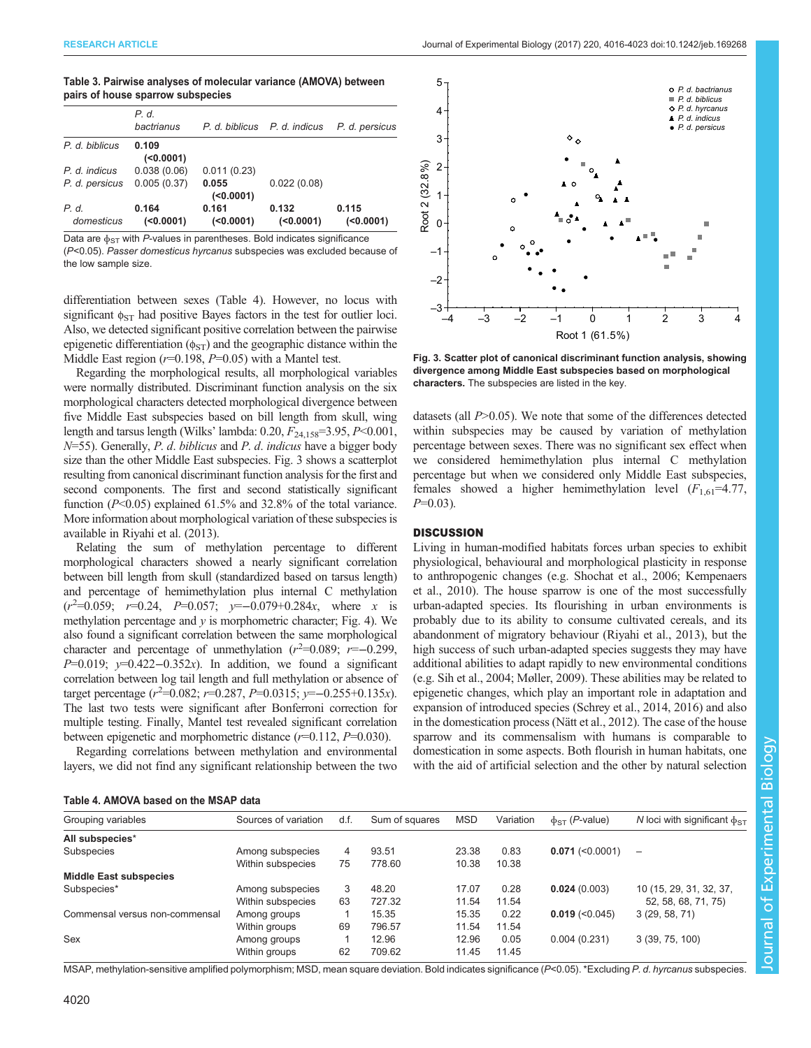## <span id="page-4-0"></span>Table 3. Pairwise analyses of molecular variance (AMOVA) between pairs of house sparrow subspecies

|                     | P. d.<br>bactrianus |                   | P. d. biblicus P. d. indicus | P. d. persicus    |
|---------------------|---------------------|-------------------|------------------------------|-------------------|
| P. d. biblicus      | 0.109<br>(0.0001)   |                   |                              |                   |
| P. d. indicus       | 0.038(0.06)         | 0.011(0.23)       |                              |                   |
| P. d. persicus      | 0.005(0.37)         | 0.055<br>(0.0001) | 0.022(0.08)                  |                   |
| P. d.<br>domesticus | 0.164<br>(0.0001)   | 0.161<br>(0.0001) | 0.132<br>(0.0001)            | 0.115<br>(0.0001) |

Data are  $\phi_{ST}$  with P-values in parentheses. Bold indicates significance (P<0.05). Passer domesticus hyrcanus subspecies was excluded because of the low sample size.

differentiation between sexes (Table 4). However, no locus with significant  $\phi_{ST}$  had positive Bayes factors in the test for outlier loci. Also, we detected significant positive correlation between the pairwise epigenetic differentiation ( $\phi_{ST}$ ) and the geographic distance within the Middle East region  $(r=0.198, P=0.05)$  with a Mantel test.

Regarding the morphological results, all morphological variables were normally distributed. Discriminant function analysis on the six morphological characters detected morphological divergence between five Middle East subspecies based on bill length from skull, wing length and tarsus length (Wilks' lambda:  $0.20, F_{24,158} = 3.95, P < 0.001,$  $N=55$ ). Generally, P. d. biblicus and P. d. indicus have a bigger body size than the other Middle East subspecies. Fig. 3 shows a scatterplot resulting from canonical discriminant function analysis for the first and second components. The first and second statistically significant function  $(P<0.05)$  explained 61.5% and 32.8% of the total variance. More information about morphological variation of these subspecies is available in [Riyahi et al. \(2013\).](#page-7-0)

Relating the sum of methylation percentage to different morphological characters showed a nearly significant correlation between bill length from skull (standardized based on tarsus length) and percentage of hemimethylation plus internal C methylation  $(r^2=0.059; r=0.24, P=0.057; y=-0.079+0.284x, where x is$ methylation percentage and  $y$  is morphometric character; [Fig. 4\)](#page-5-0). We also found a significant correlation between the same morphological character and percentage of unmethylation  $(r^2=0.089; r=-0.299,$ P=0.019;  $v=0.422-0.352x$ ). In addition, we found a significant correlation between log tail length and full methylation or absence of target percentage ( $r^2$ =0.082;  $r$ =0.287,  $P$ =0.0315;  $y$ =−0.255+0.135x). The last two tests were significant after Bonferroni correction for multiple testing. Finally, Mantel test revealed significant correlation between epigenetic and morphometric distance  $(r=0.112, P=0.030)$ .

Regarding correlations between methylation and environmental layers, we did not find any significant relationship between the two

Table 4. AMOVA based on the MSAP data



Fig. 3. Scatter plot of canonical discriminant function analysis, showing divergence among Middle East subspecies based on morphological characters. The subspecies are listed in the key.

datasets (all P>0.05). We note that some of the differences detected within subspecies may be caused by variation of methylation percentage between sexes. There was no significant sex effect when we considered hemimethylation plus internal C methylation percentage but when we considered only Middle East subspecies, females showed a higher hemimethylation level  $(F_{1,61}=4.77)$ ,  $P=0.03$ ).

## **DISCUSSION**

Living in human-modified habitats forces urban species to exhibit physiological, behavioural and morphological plasticity in response to anthropogenic changes (e.g. [Shochat et al., 2006](#page-7-0); [Kempenaers](#page-6-0) [et al., 2010](#page-6-0)). The house sparrow is one of the most successfully urban-adapted species. Its flourishing in urban environments is probably due to its ability to consume cultivated cereals, and its abandonment of migratory behaviour [\(Riyahi et al., 2013](#page-7-0)), but the high success of such urban-adapted species suggests they may have additional abilities to adapt rapidly to new environmental conditions (e.g. [Sih et al., 2004;](#page-7-0) [Møller, 2009\)](#page-6-0). These abilities may be related to epigenetic changes, which play an important role in adaptation and expansion of introduced species ([Schrey et al., 2014](#page-7-0), [2016\)](#page-7-0) and also in the domestication process ([Nätt et al., 2012](#page-6-0)). The case of the house sparrow and its commensalism with humans is comparable to domestication in some aspects. Both flourish in human habitats, one with the aid of artificial selection and the other by natural selection

| Grouping variables             | Sources of variation | d.f.           | Sum of squares | <b>MSD</b> | Variation | $\phi_{ST}$ ( <i>P</i> -value) | N loci with significant $\phi_{ST}$ |
|--------------------------------|----------------------|----------------|----------------|------------|-----------|--------------------------------|-------------------------------------|
| All subspecies*                |                      |                |                |            |           |                                |                                     |
| Subspecies                     | Among subspecies     | $\overline{4}$ | 93.51          | 23.38      | 0.83      | $0.071$ (<0.0001)              | $\overline{\phantom{m}}$            |
|                                | Within subspecies    | 75             | 778.60         | 10.38      | 10.38     |                                |                                     |
| <b>Middle East subspecies</b>  |                      |                |                |            |           |                                |                                     |
| Subspecies*                    | Among subspecies     | 3              | 48.20          | 17.07      | 0.28      | 0.024(0.003)                   | 10 (15, 29, 31, 32, 37,             |
|                                | Within subspecies    | 63             | 727.32         | 11.54      | 11.54     |                                | 52, 58, 68, 71, 75)                 |
| Commensal versus non-commensal | Among groups         |                | 15.35          | 15.35      | 0.22      | $0.019$ (<0.045)               | 3(29, 58, 71)                       |
|                                | Within groups        | 69             | 796.57         | 11.54      | 11.54     |                                |                                     |
| Sex                            | Among groups         |                | 12.96          | 12.96      | 0.05      | 0.004(0.231)                   | 3(39, 75, 100)                      |
|                                | Within groups        | 62             | 709.62         | 11.45      | 11.45     |                                |                                     |
|                                |                      |                |                |            |           |                                |                                     |

MSAP, methylation-sensitive amplified polymorphism; MSD, mean square deviation. Bold indicates significance (P<0.05). \*Excluding P. d. hyrcanus subspecies.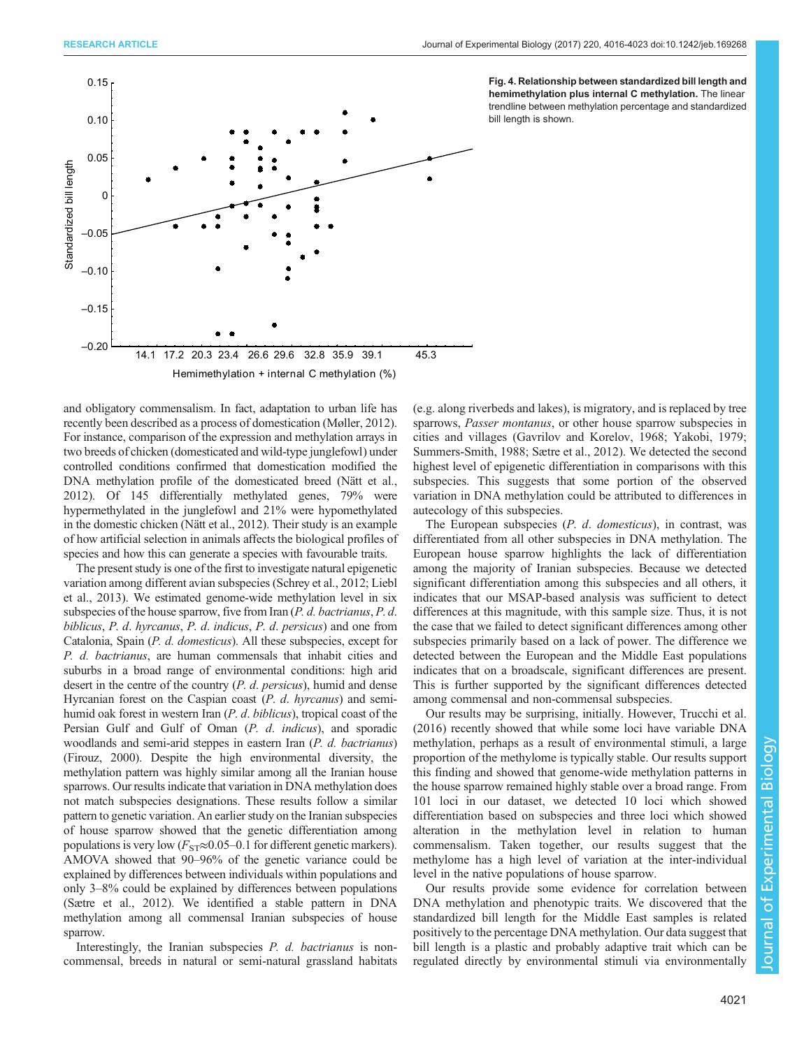<span id="page-5-0"></span>

Fig. 4. Relationship between standardized bill length and hemimethylation plus internal C methylation. The linear trendline between methylation percentage and standardized bill length is shown.

and obligatory commensalism. In fact, adaptation to urban life has recently been described as a process of domestication ([Møller, 2012\)](#page-6-0). For instance, comparison of the expression and methylation arrays in two breeds of chicken (domesticated and wild-type junglefowl) under controlled conditions confirmed that domestication modified the DNA methylation profile of the domesticated breed ([Nätt et al.,](#page-6-0) [2012\)](#page-6-0). Of 145 differentially methylated genes, 79% were hypermethylated in the junglefowl and 21% were hypomethylated in the domestic chicken ([Nätt et al., 2012](#page-6-0)). Their study is an example of how artificial selection in animals affects the biological profiles of species and how this can generate a species with favourable traits.

The present study is one of the first to investigate natural epigenetic variation among different avian subspecies ([Schrey et al., 2012](#page-7-0); [Liebl](#page-6-0) [et al., 2013\)](#page-6-0). We estimated genome-wide methylation level in six subspecies of the house sparrow, five from Iran (P. d. bactrianus, P. d. biblicus, P. d. hyrcanus, P. d. indicus, P. d. persicus) and one from Catalonia, Spain (P. d. domesticus). All these subspecies, except for P. d. bactrianus, are human commensals that inhabit cities and suburbs in a broad range of environmental conditions: high arid desert in the centre of the country (*P. d. persicus*), humid and dense Hyrcanian forest on the Caspian coast (P. d. hyrcanus) and semihumid oak forest in western Iran (P. d. biblicus), tropical coast of the Persian Gulf and Gulf of Oman (P. d. indicus), and sporadic woodlands and semi-arid steppes in eastern Iran (P. d. bactrianus) [\(Firouz, 2000](#page-6-0)). Despite the high environmental diversity, the methylation pattern was highly similar among all the Iranian house sparrows. Our results indicate that variation in DNA methylation does not match subspecies designations. These results follow a similar pattern to genetic variation. An earlier study on the Iranian subspecies of house sparrow showed that the genetic differentiation among populations is very low ( $F_{ST} \approx 0.05-0.1$  for different genetic markers). AMOVA showed that 90–96% of the genetic variance could be explained by differences between individuals within populations and only 3–8% could be explained by differences between populations [\(Sætre et al., 2012](#page-7-0)). We identified a stable pattern in DNA methylation among all commensal Iranian subspecies of house sparrow.

Interestingly, the Iranian subspecies P. d. bactrianus is noncommensal, breeds in natural or semi-natural grassland habitats (e.g. along riverbeds and lakes), is migratory, and is replaced by tree sparrows, Passer montanus, or other house sparrow subspecies in cities and villages [\(Gavrilov and Korelov, 1968;](#page-6-0) [Yakobi, 1979](#page-7-0); [Summers-Smith, 1988; Sætre et al., 2012](#page-7-0)). We detected the second highest level of epigenetic differentiation in comparisons with this subspecies. This suggests that some portion of the observed variation in DNA methylation could be attributed to differences in autecology of this subspecies.

The European subspecies (P. d. domesticus), in contrast, was differentiated from all other subspecies in DNA methylation. The European house sparrow highlights the lack of differentiation among the majority of Iranian subspecies. Because we detected significant differentiation among this subspecies and all others, it indicates that our MSAP-based analysis was sufficient to detect differences at this magnitude, with this sample size. Thus, it is not the case that we failed to detect significant differences among other subspecies primarily based on a lack of power. The difference we detected between the European and the Middle East populations indicates that on a broadscale, significant differences are present. This is further supported by the significant differences detected among commensal and non-commensal subspecies.

Our results may be surprising, initially. However, [Trucchi et al.](#page-7-0) [\(2016\)](#page-7-0) recently showed that while some loci have variable DNA methylation, perhaps as a result of environmental stimuli, a large proportion of the methylome is typically stable. Our results support this finding and showed that genome-wide methylation patterns in the house sparrow remained highly stable over a broad range. From 101 loci in our dataset, we detected 10 loci which showed differentiation based on subspecies and three loci which showed alteration in the methylation level in relation to human commensalism. Taken together, our results suggest that the methylome has a high level of variation at the inter-individual level in the native populations of house sparrow.

Our results provide some evidence for correlation between DNA methylation and phenotypic traits. We discovered that the standardized bill length for the Middle East samples is related positively to the percentage DNA methylation. Our data suggest that bill length is a plastic and probably adaptive trait which can be regulated directly by environmental stimuli via environmentally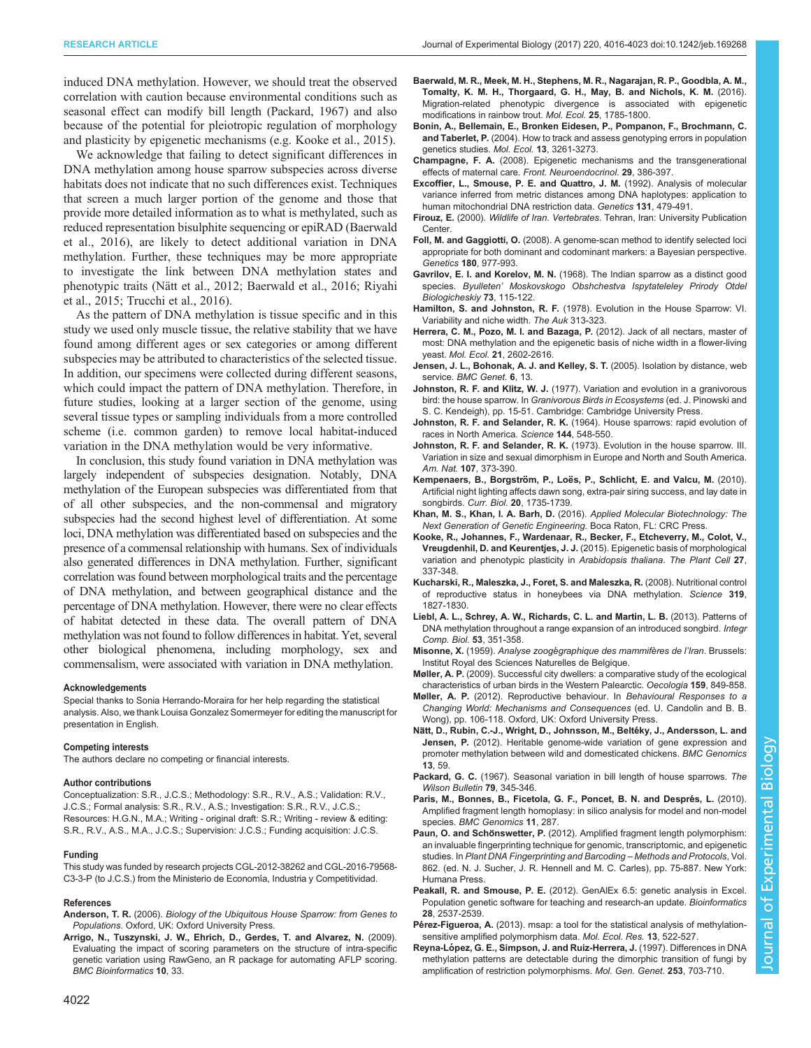<span id="page-6-0"></span>RESEARCH ARTICLE **ARTICLE** ARTICLE ARTICLE **Journal of Experimental Biology (2017)** 220, 4016-4023 doi:10.1242/jeb.169268

induced DNA methylation. However, we should treat the observed correlation with caution because environmental conditions such as seasonal effect can modify bill length (Packard, 1967) and also because of the potential for pleiotropic regulation of morphology and plasticity by epigenetic mechanisms (e.g. Kooke et al., 2015).

We acknowledge that failing to detect significant differences in DNA methylation among house sparrow subspecies across diverse habitats does not indicate that no such differences exist. Techniques that screen a much larger portion of the genome and those that provide more detailed information as to what is methylated, such as reduced representation bisulphite sequencing or epiRAD (Baerwald et al., 2016), are likely to detect additional variation in DNA methylation. Further, these techniques may be more appropriate to investigate the link between DNA methylation states and phenotypic traits (Nätt et al., 2012; Baerwald et al., 2016; [Riyahi](#page-7-0) [et al., 2015; Trucchi et al., 2016](#page-7-0)).

As the pattern of DNA methylation is tissue specific and in this study we used only muscle tissue, the relative stability that we have found among different ages or sex categories or among different subspecies may be attributed to characteristics of the selected tissue. In addition, our specimens were collected during different seasons, which could impact the pattern of DNA methylation. Therefore, in future studies, looking at a larger section of the genome, using several tissue types or sampling individuals from a more controlled scheme (i.e. common garden) to remove local habitat-induced variation in the DNA methylation would be very informative.

In conclusion, this study found variation in DNA methylation was largely independent of subspecies designation. Notably, DNA methylation of the European subspecies was differentiated from that of all other subspecies, and the non-commensal and migratory subspecies had the second highest level of differentiation. At some loci, DNA methylation was differentiated based on subspecies and the presence of a commensal relationship with humans. Sex of individuals also generated differences in DNA methylation. Further, significant correlation was found between morphological traits and the percentage of DNA methylation, and between geographical distance and the percentage of DNA methylation. However, there were no clear effects of habitat detected in these data. The overall pattern of DNA methylation was not found to follow differences in habitat. Yet, several other biological phenomena, including morphology, sex and commensalism, were associated with variation in DNA methylation.

#### Acknowledgements

Special thanks to Sonia Herrando-Moraira for her help regarding the statistical analysis. Also, we thank Louisa Gonzalez Somermeyer for editing the manuscript for presentation in English.

#### Competing interests

The authors declare no competing or financial interests.

#### Author contributions

Conceptualization: S.R., J.C.S.; Methodology: S.R., R.V., A.S.; Validation: R.V., J.C.S.; Formal analysis: S.R., R.V., A.S.; Investigation: S.R., R.V., J.C.S.; Resources: H.G.N., M.A.; Writing - original draft: S.R.; Writing - review & editing: S.R., R.V., A.S., M.A., J.C.S.; Supervision: J.C.S.; Funding acquisition: J.C.S.

#### Funding

This study was funded by research projects CGL-2012-38262 and CGL-2016-79568- C3-3-P (to J.C.S.) from the Ministerio de Economía, Industria y Competitividad.

#### References

- Anderson, T. R. (2006). Biology of the Ubiquitous House Sparrow: from Genes to Populations. Oxford, UK: Oxford University Press.
- [Arrigo, N., Tuszynski, J. W., Ehrich, D., Gerdes, T. and Alvarez, N.](http://dx.doi.org/10.1186/1471-2105-10-33) (2009). [Evaluating the impact of scoring parameters on the structure of intra-specific](http://dx.doi.org/10.1186/1471-2105-10-33) [genetic variation using RawGeno, an R package for automating AFLP scoring.](http://dx.doi.org/10.1186/1471-2105-10-33) [BMC Bioinformatics](http://dx.doi.org/10.1186/1471-2105-10-33) 10, 33.
- [Baerwald, M. R., Meek, M. H., Stephens, M. R., Nagarajan, R. P., Goodbla, A. M.,](http://dx.doi.org/10.1111/mec.13231) [Tomalty, K. M. H., Thorgaard, G. H., May, B. and Nichols, K. M.](http://dx.doi.org/10.1111/mec.13231) (2016). [Migration-related phenotypic divergence is associated with epigenetic](http://dx.doi.org/10.1111/mec.13231) [modifications in rainbow trout.](http://dx.doi.org/10.1111/mec.13231) Mol. Ecol. 25, 1785-1800.
- [Bonin, A., Bellemain, E., Bronken Eidesen, P., Pompanon, F., Brochmann, C.](http://dx.doi.org/10.1111/j.1365-294X.2004.02346.x) and Taberlet, P. [\(2004\). How to track and assess genotyping errors in population](http://dx.doi.org/10.1111/j.1365-294X.2004.02346.x) [genetics studies.](http://dx.doi.org/10.1111/j.1365-294X.2004.02346.x) Mol. Ecol. 13, 3261-3273.
- Champagne, F. A. [\(2008\). Epigenetic mechanisms and the transgenerational](http://dx.doi.org/10.1016/j.yfrne.2008.03.003) [effects of maternal care.](http://dx.doi.org/10.1016/j.yfrne.2008.03.003) Front. Neuroendocrinol. 29, 386-397.
- Excoffier, L., Smouse, P. E. and Quattro, J. M. (1992). Analysis of molecular variance inferred from metric distances among DNA haplotypes: application to human mitochondrial DNA restriction data. Genetics 131, 479-491.
- Firouz, E. (2000). Wildlife of Iran. Vertebrates. Tehran, Iran: University Publication Center.
- Foll, M. and Gaggiotti, O. [\(2008\). A genome-scan method to identify selected loci](http://dx.doi.org/10.1534/genetics.108.092221) [appropriate for both dominant and codominant markers: a Bayesian perspective.](http://dx.doi.org/10.1534/genetics.108.092221) Genetics 180[, 977-993.](http://dx.doi.org/10.1534/genetics.108.092221)
- Gavrilov, E. I. and Korelov, M. N. (1968). The Indian sparrow as a distinct good species. Byulleten' Moskovskogo Obshchestva Ispytateleley Prirody Otdel Biologicheskiy 73, 115-122.
- Hamilton, S. and Johnston, R. F. (1978). Evolution in the House Sparrow: VI. Variability and niche width. The Auk 313-323.
- [Herrera, C. M., Pozo, M. I. and Bazaga, P.](http://dx.doi.org/10.1111/j.1365-294X.2011.05402.x) (2012). Jack of all nectars, master of [most: DNA methylation and the epigenetic basis of niche width in a flower-living](http://dx.doi.org/10.1111/j.1365-294X.2011.05402.x) yeast. Mol. Ecol. 21[, 2602-2616.](http://dx.doi.org/10.1111/j.1365-294X.2011.05402.x)
- [Jensen, J. L., Bohonak, A. J. and Kelley, S. T.](http://dx.doi.org/10.1186/1471-2156-6-13) (2005). Isolation by distance, web service. [BMC Genet.](http://dx.doi.org/10.1186/1471-2156-6-13) 6, 13.
- Johnston, R. F. and Klitz, W. J. (1977). Variation and evolution in a granivorous bird: the house sparrow. In Granivorous Birds in Ecosystems (ed. J. Pinowski and S. C. Kendeigh), pp. 15-51. Cambridge: Cambridge University Press.
- Johnston, R. F. and Selander, R. K. [\(1964\). House sparrows: rapid evolution of](http://dx.doi.org/10.1126/science.144.3618.548) [races in North America.](http://dx.doi.org/10.1126/science.144.3618.548) Science 144, 548-550.
- Johnston, R. F. and Selander, R. K. [\(1973\). Evolution in the house sparrow. III.](http://dx.doi.org/10.1086/282841) [Variation in size and sexual dimorphism in Europe and North and South America.](http://dx.doi.org/10.1086/282841) Am. Nat. 107[, 373-390.](http://dx.doi.org/10.1086/282841)
- Kempenaers, B., Borgström, P., Loë[s, P., Schlicht, E. and Valcu, M.](http://dx.doi.org/10.1016/j.cub.2010.08.028) (2010). [Artificial night lighting affects dawn song, extra-pair siring success, and lay date in](http://dx.doi.org/10.1016/j.cub.2010.08.028) songbirds. Curr. Biol. 20[, 1735-1739.](http://dx.doi.org/10.1016/j.cub.2010.08.028)
- Khan, M. S., Khan, I. A. Barh, D. (2016). Applied Molecular Biotechnology: The Next Generation of Genetic Engineering. Boca Raton, FL: CRC Press.
- Kooke, R., Johannes, F., Wardenaar, R., Becker, F., Etcheverry, M., Colot, V., Vreugdenhil, D. and Keurentjes, J. J. (2015). Epigenetic basis of morphological variation and phenotypic plasticity in Arabidopsis thaliana. The Plant Cell 27, 337-348.
- [Kucharski, R., Maleszka, J., Foret, S. and Maleszka, R.](http://dx.doi.org/10.1126/science.1153069) (2008). Nutritional control [of reproductive status in honeybees via DNA methylation.](http://dx.doi.org/10.1126/science.1153069) Science 319, [1827-1830.](http://dx.doi.org/10.1126/science.1153069)
- [Liebl, A. L., Schrey, A. W., Richards, C. L. and Martin, L. B.](http://dx.doi.org/10.1093/icb/ict007) (2013). Patterns of [DNA methylation throughout a range expansion of an introduced songbird.](http://dx.doi.org/10.1093/icb/ict007) Integr [Comp. Biol.](http://dx.doi.org/10.1093/icb/ict007) 53, 351-358.
- Misonne, X. (1959). Analyse zoogégraphique des mammifères de l'Iran. Brussels: Institut Royal des Sciences Naturelles de Belgique.
- Møller, A. P. [\(2009\). Successful city dwellers: a comparative study of the ecological](http://dx.doi.org/10.1007/s00442-008-1259-8) [characteristics of urban birds in the Western Palearctic.](http://dx.doi.org/10.1007/s00442-008-1259-8) Oecologia 159, 849-858.
- Møller, A. P. (2012). Reproductive behaviour. In Behavioural Responses to a Changing World: Mechanisms and Consequences (ed. U. Candolin and B. B. Wong), pp. 106-118. Oxford, UK: Oxford University Press.
- Nätt, D., Rubin, C.-J., Wright, D., Johnsson, M., Beltéky, J., Andersson, L. and Jensen, P. [\(2012\). Heritable genome-wide variation of gene expression and](http://dx.doi.org/10.1186/1471-2164-13-59) [promoter methylation between wild and domesticated chickens.](http://dx.doi.org/10.1186/1471-2164-13-59) BMC Genomics 13[, 59.](http://dx.doi.org/10.1186/1471-2164-13-59)
- Packard, G. C. (1967). Seasonal variation in bill length of house sparrows. The Wilson Bulletin 79, 345-346.
- Paris, M., Bonnes, B., Ficetola, G. F., Poncet, B. N. and Després, L. (2010). [Amplified fragment length homoplasy: in silico analysis for model and non-model](http://dx.doi.org/10.1186/1471-2164-11-287) species. [BMC Genomics](http://dx.doi.org/10.1186/1471-2164-11-287) 11, 287.
- Paun, O. and Schönswetter, P. (2012). Amplified fragment length polymorphism: an invaluable fingerprinting technique for genomic, transcriptomic, and epigenetic studies. In Plant DNA Fingerprinting and Barcoding – Methods and Protocols, Vol. 862. (ed. N. J. Sucher, J. R. Hennell and M. C. Carles), pp. 75-887. New York: Humana Press.
- Peakall, R. and Smouse, P. E. [\(2012\). GenAlEx 6.5: genetic analysis in Excel.](http://dx.doi.org/10.1093/bioinformatics/bts460) [Population genetic software for teaching and research-an update.](http://dx.doi.org/10.1093/bioinformatics/bts460) Bioinformatics 28[, 2537-2539.](http://dx.doi.org/10.1093/bioinformatics/bts460)
- Pérez-Figueroa, A. [\(2013\). msap: a tool for the statistical analysis of methylation](http://dx.doi.org/10.1111/1755-0998.12064)[sensitive amplified polymorphism data.](http://dx.doi.org/10.1111/1755-0998.12064) Mol. Ecol. Res. 13, 522-527.
- Reyna-Ló[pez, G. E., Simpson, J. and Ruiz-Herrera, J.](http://dx.doi.org/10.1007/s004380050374) (1997). Differences in DNA [methylation patterns are detectable during the dimorphic transition of fungi by](http://dx.doi.org/10.1007/s004380050374) [amplification of restriction polymorphisms.](http://dx.doi.org/10.1007/s004380050374) Mol. Gen. Genet. 253, 703-710.